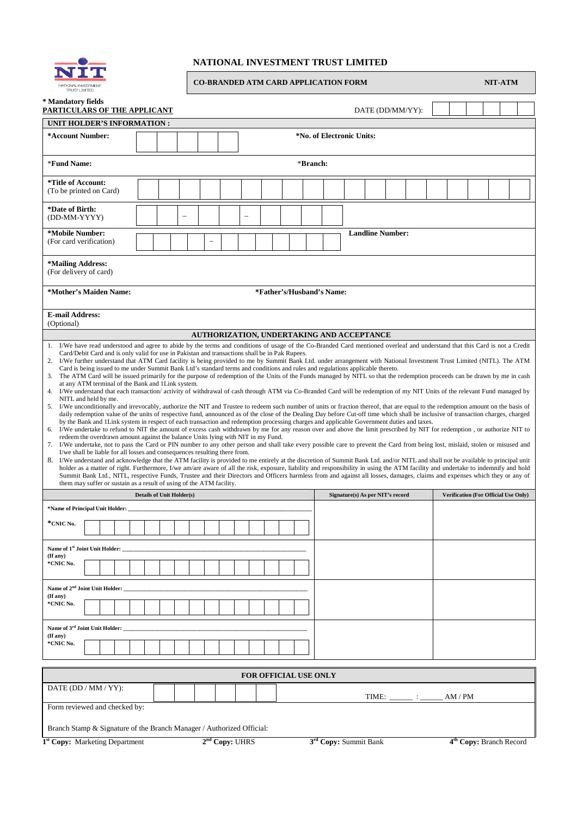

## **NATIONAL INVESTMENT TRUST LIMITED**

 $\blacksquare$ 

| NATIONAL INVESTMENT<br>TRUST LIMITED                                                                                                                                                                                                                                                                                                                                                                                                                                                                                                                                                                                                                                                                                                                                                                                                                                                                                                                                                                                                                                                                                                                                                                                                                                                                                                                                                                                                                                                                                                                            |                                  |                  |  | <b>CO-BRANDED ATM CARD APPLICATION FORM</b> |                            |  |  |                                                  |                                  |  |                           |  |  |                                             |  |         |                                     | <b>NIT-ATM</b> |  |  |
|-----------------------------------------------------------------------------------------------------------------------------------------------------------------------------------------------------------------------------------------------------------------------------------------------------------------------------------------------------------------------------------------------------------------------------------------------------------------------------------------------------------------------------------------------------------------------------------------------------------------------------------------------------------------------------------------------------------------------------------------------------------------------------------------------------------------------------------------------------------------------------------------------------------------------------------------------------------------------------------------------------------------------------------------------------------------------------------------------------------------------------------------------------------------------------------------------------------------------------------------------------------------------------------------------------------------------------------------------------------------------------------------------------------------------------------------------------------------------------------------------------------------------------------------------------------------|----------------------------------|------------------|--|---------------------------------------------|----------------------------|--|--|--------------------------------------------------|----------------------------------|--|---------------------------|--|--|---------------------------------------------|--|---------|-------------------------------------|----------------|--|--|
| * Mandatory fields<br>PARTICULARS OF THE APPLICANT                                                                                                                                                                                                                                                                                                                                                                                                                                                                                                                                                                                                                                                                                                                                                                                                                                                                                                                                                                                                                                                                                                                                                                                                                                                                                                                                                                                                                                                                                                              |                                  | DATE (DD/MM/YY): |  |                                             |                            |  |  |                                                  |                                  |  |                           |  |  |                                             |  |         |                                     |                |  |  |
| UNIT HOLDER'S INFORMATION :                                                                                                                                                                                                                                                                                                                                                                                                                                                                                                                                                                                                                                                                                                                                                                                                                                                                                                                                                                                                                                                                                                                                                                                                                                                                                                                                                                                                                                                                                                                                     |                                  |                  |  |                                             |                            |  |  |                                                  |                                  |  |                           |  |  |                                             |  |         |                                     |                |  |  |
| *Account Number:                                                                                                                                                                                                                                                                                                                                                                                                                                                                                                                                                                                                                                                                                                                                                                                                                                                                                                                                                                                                                                                                                                                                                                                                                                                                                                                                                                                                                                                                                                                                                |                                  |                  |  |                                             |                            |  |  |                                                  |                                  |  | *No. of Electronic Units: |  |  |                                             |  |         |                                     |                |  |  |
| *Fund Name:                                                                                                                                                                                                                                                                                                                                                                                                                                                                                                                                                                                                                                                                                                                                                                                                                                                                                                                                                                                                                                                                                                                                                                                                                                                                                                                                                                                                                                                                                                                                                     |                                  |                  |  |                                             |                            |  |  |                                                  | *Branch:                         |  |                           |  |  |                                             |  |         |                                     |                |  |  |
| *Title of Account:<br>(To be printed on Card)                                                                                                                                                                                                                                                                                                                                                                                                                                                                                                                                                                                                                                                                                                                                                                                                                                                                                                                                                                                                                                                                                                                                                                                                                                                                                                                                                                                                                                                                                                                   |                                  |                  |  |                                             |                            |  |  |                                                  |                                  |  |                           |  |  |                                             |  |         |                                     |                |  |  |
| *Date of Birth:<br>(DD-MM-YYYY)                                                                                                                                                                                                                                                                                                                                                                                                                                                                                                                                                                                                                                                                                                                                                                                                                                                                                                                                                                                                                                                                                                                                                                                                                                                                                                                                                                                                                                                                                                                                 |                                  |                  |  |                                             |                            |  |  |                                                  |                                  |  | <b>Landline Number:</b>   |  |  |                                             |  |         |                                     |                |  |  |
| *Mobile Number:<br>(For card verification)                                                                                                                                                                                                                                                                                                                                                                                                                                                                                                                                                                                                                                                                                                                                                                                                                                                                                                                                                                                                                                                                                                                                                                                                                                                                                                                                                                                                                                                                                                                      |                                  |                  |  | -                                           |                            |  |  |                                                  |                                  |  |                           |  |  |                                             |  |         |                                     |                |  |  |
| *Mailing Address:<br>(For delivery of card)                                                                                                                                                                                                                                                                                                                                                                                                                                                                                                                                                                                                                                                                                                                                                                                                                                                                                                                                                                                                                                                                                                                                                                                                                                                                                                                                                                                                                                                                                                                     |                                  |                  |  |                                             |                            |  |  |                                                  |                                  |  |                           |  |  |                                             |  |         |                                     |                |  |  |
| *Father's/Husband's Name:<br>*Mother's Maiden Name:                                                                                                                                                                                                                                                                                                                                                                                                                                                                                                                                                                                                                                                                                                                                                                                                                                                                                                                                                                                                                                                                                                                                                                                                                                                                                                                                                                                                                                                                                                             |                                  |                  |  |                                             |                            |  |  |                                                  |                                  |  |                           |  |  |                                             |  |         |                                     |                |  |  |
| <b>E-mail Address:</b><br>(Optional)                                                                                                                                                                                                                                                                                                                                                                                                                                                                                                                                                                                                                                                                                                                                                                                                                                                                                                                                                                                                                                                                                                                                                                                                                                                                                                                                                                                                                                                                                                                            |                                  |                  |  |                                             |                            |  |  | <b>AUTHORIZATION, UNDERTAKING AND ACCEPTANCE</b> |                                  |  |                           |  |  |                                             |  |         |                                     |                |  |  |
| Card is being issued to me under Summit Bank Ltd's standard terms and conditions and rules and regulations applicable thereto.<br>The ATM Card will be issued primarily for the purpose of redemption of the Units of the Funds managed by NITL so that the redemption proceeds can be drawn by me in cash<br>3.<br>at any ATM terminal of the Bank and 1Link system.<br>4. I/We understand that each transaction/activity of withdrawal of cash through ATM via Co-Branded Card will be redemption of my NIT Units of the relevant Fund managed by<br>NITL and held by me.<br>5. I/We unconditionally and irrevocably, authorize the NIT and Trustee to redeem such number of units or fraction thereof, that are equal to the redemption amount on the basis of<br>daily redemption value of the units of respective fund, announced as of the close of the Dealing Day before Cut-off time which shall be inclusive of transaction charges, charged<br>by the Bank and 1Link system in respect of each transaction and redemption processing charges and applicable Government duties and taxes.<br>I/We undertake to refund to NIT the amount of excess cash withdrawn by me for any reason over and above the limit prescribed by NIT for redemption, or authorize NIT to<br>6.<br>redeem the overdrawn amount against the balance Units lying with NIT in my Fund.<br>I/We undertake, not to pass the Card or PIN number to any other person and shall take every possible care to prevent the Card from being lost, mislaid, stolen or misused and<br>7. |                                  |                  |  |                                             |                            |  |  |                                                  |                                  |  |                           |  |  |                                             |  |         |                                     |                |  |  |
| I/we shall be liable for all losses and consequences resulting there from.<br>8. I/We understand and acknowledge that the ATM facility is provided to me entirely at the discretion of Summit Bank Ltd. and/or NITL and shall not be available to principal unit<br>holder as a matter of right. Furthermore, I/we am/are aware of all the risk, exposure, liability and responsibility in using the ATM facility and undertake to indemnify and hold<br>Summit Bank Ltd., NITL, respective Funds, Trustee and their Directors and Officers harmless from and against all losses, damages, claims and expenses which they or any of<br>them may suffer or sustain as a result of using of the ATM facility.                                                                                                                                                                                                                                                                                                                                                                                                                                                                                                                                                                                                                                                                                                                                                                                                                                                     |                                  |                  |  |                                             |                            |  |  |                                                  |                                  |  |                           |  |  |                                             |  |         |                                     |                |  |  |
|                                                                                                                                                                                                                                                                                                                                                                                                                                                                                                                                                                                                                                                                                                                                                                                                                                                                                                                                                                                                                                                                                                                                                                                                                                                                                                                                                                                                                                                                                                                                                                 | <b>Details of Unit Holder(s)</b> |                  |  |                                             |                            |  |  |                                                  | Signature(s) As per NIT's record |  |                           |  |  | <b>Verification (For Official Use Only)</b> |  |         |                                     |                |  |  |
| *Name of Principal Unit Holder:                                                                                                                                                                                                                                                                                                                                                                                                                                                                                                                                                                                                                                                                                                                                                                                                                                                                                                                                                                                                                                                                                                                                                                                                                                                                                                                                                                                                                                                                                                                                 |                                  |                  |  |                                             |                            |  |  |                                                  |                                  |  |                           |  |  |                                             |  |         |                                     |                |  |  |
| *CNIC No.                                                                                                                                                                                                                                                                                                                                                                                                                                                                                                                                                                                                                                                                                                                                                                                                                                                                                                                                                                                                                                                                                                                                                                                                                                                                                                                                                                                                                                                                                                                                                       |                                  |                  |  |                                             |                            |  |  |                                                  |                                  |  |                           |  |  |                                             |  |         |                                     |                |  |  |
| Name of 1 <sup>st</sup> Joint Unit Holder:<br>(If any)<br>*CNIC No.                                                                                                                                                                                                                                                                                                                                                                                                                                                                                                                                                                                                                                                                                                                                                                                                                                                                                                                                                                                                                                                                                                                                                                                                                                                                                                                                                                                                                                                                                             |                                  |                  |  |                                             |                            |  |  |                                                  |                                  |  |                           |  |  |                                             |  |         |                                     |                |  |  |
|                                                                                                                                                                                                                                                                                                                                                                                                                                                                                                                                                                                                                                                                                                                                                                                                                                                                                                                                                                                                                                                                                                                                                                                                                                                                                                                                                                                                                                                                                                                                                                 |                                  |                  |  |                                             |                            |  |  |                                                  |                                  |  |                           |  |  |                                             |  |         |                                     |                |  |  |
| Name of 2 <sup>nd</sup> Joint Unit Holder:<br>(If any)<br>*CNIC No.                                                                                                                                                                                                                                                                                                                                                                                                                                                                                                                                                                                                                                                                                                                                                                                                                                                                                                                                                                                                                                                                                                                                                                                                                                                                                                                                                                                                                                                                                             |                                  |                  |  |                                             |                            |  |  |                                                  |                                  |  |                           |  |  |                                             |  |         |                                     |                |  |  |
| Name of 3 <sup>rd</sup> Joint Unit Holder:<br>(If any)<br>*CNIC No.                                                                                                                                                                                                                                                                                                                                                                                                                                                                                                                                                                                                                                                                                                                                                                                                                                                                                                                                                                                                                                                                                                                                                                                                                                                                                                                                                                                                                                                                                             |                                  |                  |  |                                             |                            |  |  |                                                  |                                  |  |                           |  |  |                                             |  |         |                                     |                |  |  |
|                                                                                                                                                                                                                                                                                                                                                                                                                                                                                                                                                                                                                                                                                                                                                                                                                                                                                                                                                                                                                                                                                                                                                                                                                                                                                                                                                                                                                                                                                                                                                                 | <b>FOR OFFICIAL USE ONLY</b>     |                  |  |                                             |                            |  |  |                                                  |                                  |  |                           |  |  |                                             |  |         |                                     |                |  |  |
| DATE (DD / MM / YY):                                                                                                                                                                                                                                                                                                                                                                                                                                                                                                                                                                                                                                                                                                                                                                                                                                                                                                                                                                                                                                                                                                                                                                                                                                                                                                                                                                                                                                                                                                                                            |                                  |                  |  |                                             |                            |  |  |                                                  |                                  |  |                           |  |  |                                             |  | AM / PM |                                     |                |  |  |
| Form reviewed and checked by:                                                                                                                                                                                                                                                                                                                                                                                                                                                                                                                                                                                                                                                                                                                                                                                                                                                                                                                                                                                                                                                                                                                                                                                                                                                                                                                                                                                                                                                                                                                                   |                                  |                  |  |                                             |                            |  |  |                                                  |                                  |  |                           |  |  |                                             |  |         |                                     |                |  |  |
| Branch Stamp & Signature of the Branch Manager / Authorized Official:<br><sup>1st</sup> Copy: Marketing Department                                                                                                                                                                                                                                                                                                                                                                                                                                                                                                                                                                                                                                                                                                                                                                                                                                                                                                                                                                                                                                                                                                                                                                                                                                                                                                                                                                                                                                              |                                  |                  |  |                                             | 2 <sup>nd</sup> Copy: UHRS |  |  |                                                  |                                  |  | 3rd Copy: Summit Bank     |  |  |                                             |  |         | 4 <sup>th</sup> Copy: Branch Record |                |  |  |
|                                                                                                                                                                                                                                                                                                                                                                                                                                                                                                                                                                                                                                                                                                                                                                                                                                                                                                                                                                                                                                                                                                                                                                                                                                                                                                                                                                                                                                                                                                                                                                 |                                  |                  |  |                                             |                            |  |  |                                                  |                                  |  |                           |  |  |                                             |  |         |                                     |                |  |  |